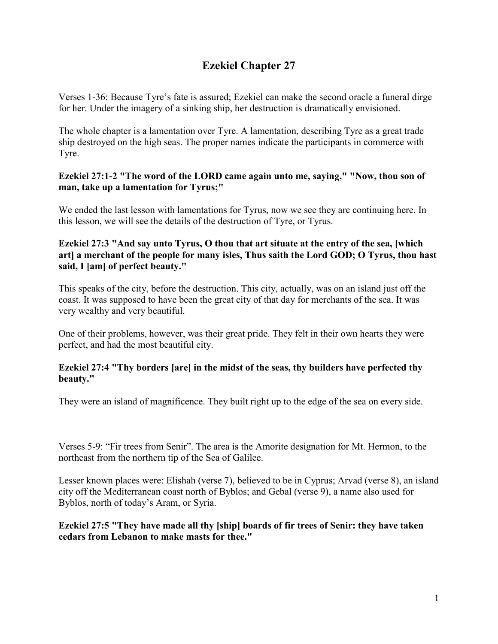# **Ezekiel Chapter 27**

Verses 1-36: Because Tyre's fate is assured; Ezekiel can make the second oracle a funeral dirge for her. Under the imagery of a sinking ship, her destruction is dramatically envisioned.

The whole chapter is a lamentation over Tyre. A lamentation, describing Tyre as a great trade ship destroyed on the high seas. The proper names indicate the participants in commerce with Tyre.

## **Ezekiel 27:1-2 "The word of the LORD came again unto me, saying," "Now, thou son of man, take up a lamentation for Tyrus;"**

We ended the last lesson with lamentations for Tyrus, now we see they are continuing here. In this lesson, we will see the details of the destruction of Tyre, or Tyrus.

## **Ezekiel 27:3 "And say unto Tyrus, O thou that art situate at the entry of the sea, [which art] a merchant of the people for many isles, Thus saith the Lord GOD; O Tyrus, thou hast said, I [am] of perfect beauty."**

This speaks of the city, before the destruction. This city, actually, was on an island just off the coast. It was supposed to have been the great city of that day for merchants of the sea. It was very wealthy and very beautiful.

One of their problems, however, was their great pride. They felt in their own hearts they were perfect, and had the most beautiful city.

## **Ezekiel 27:4 "Thy borders [are] in the midst of the seas, thy builders have perfected thy beauty."**

They were an island of magnificence. They built right up to the edge of the sea on every side.

Verses 5-9: "Fir trees from Senir". The area is the Amorite designation for Mt. Hermon, to the northeast from the northern tip of the Sea of Galilee.

Lesser known places were: Elishah (verse 7), believed to be in Cyprus; Arvad (verse 8), an island city off the Mediterranean coast north of Byblos; and Gebal (verse 9), a name also used for Byblos, north of today's Aram, or Syria.

## **Ezekiel 27:5 "They have made all thy [ship] boards of fir trees of Senir: they have taken cedars from Lebanon to make masts for thee."**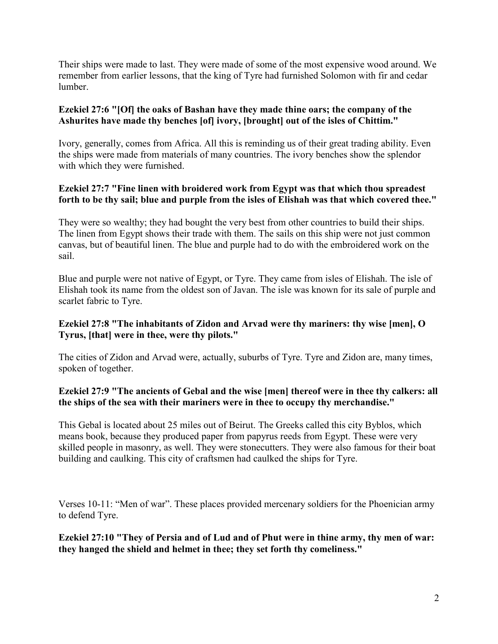Their ships were made to last. They were made of some of the most expensive wood around. We remember from earlier lessons, that the king of Tyre had furnished Solomon with fir and cedar lumber.

# **Ezekiel 27:6 "[Of] the oaks of Bashan have they made thine oars; the company of the Ashurites have made thy benches [of] ivory, [brought] out of the isles of Chittim."**

Ivory, generally, comes from Africa. All this is reminding us of their great trading ability. Even the ships were made from materials of many countries. The ivory benches show the splendor with which they were furnished.

# **Ezekiel 27:7 "Fine linen with broidered work from Egypt was that which thou spreadest forth to be thy sail; blue and purple from the isles of Elishah was that which covered thee."**

They were so wealthy; they had bought the very best from other countries to build their ships. The linen from Egypt shows their trade with them. The sails on this ship were not just common canvas, but of beautiful linen. The blue and purple had to do with the embroidered work on the sail.

Blue and purple were not native of Egypt, or Tyre. They came from isles of Elishah. The isle of Elishah took its name from the oldest son of Javan. The isle was known for its sale of purple and scarlet fabric to Tyre.

# **Ezekiel 27:8 "The inhabitants of Zidon and Arvad were thy mariners: thy wise [men], O Tyrus, [that] were in thee, were thy pilots."**

The cities of Zidon and Arvad were, actually, suburbs of Tyre. Tyre and Zidon are, many times, spoken of together.

## **Ezekiel 27:9 "The ancients of Gebal and the wise [men] thereof were in thee thy calkers: all the ships of the sea with their mariners were in thee to occupy thy merchandise."**

This Gebal is located about 25 miles out of Beirut. The Greeks called this city Byblos, which means book, because they produced paper from papyrus reeds from Egypt. These were very skilled people in masonry, as well. They were stonecutters. They were also famous for their boat building and caulking. This city of craftsmen had caulked the ships for Tyre.

Verses 10-11: "Men of war". These places provided mercenary soldiers for the Phoenician army to defend Tyre.

**Ezekiel 27:10 "They of Persia and of Lud and of Phut were in thine army, thy men of war: they hanged the shield and helmet in thee; they set forth thy comeliness."**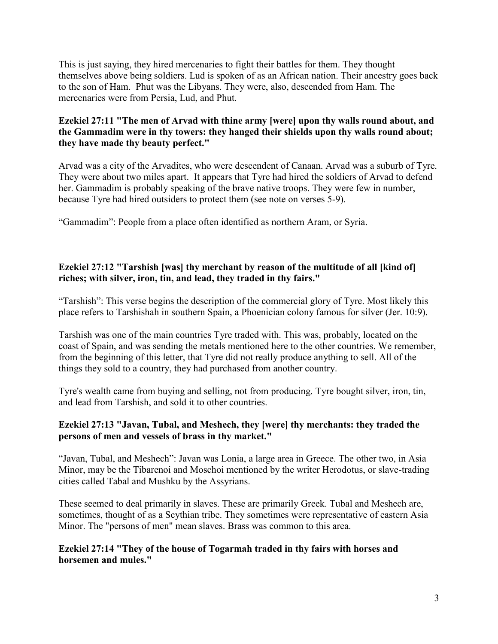This is just saying, they hired mercenaries to fight their battles for them. They thought themselves above being soldiers. Lud is spoken of as an African nation. Their ancestry goes back to the son of Ham. Phut was the Libyans. They were, also, descended from Ham. The mercenaries were from Persia, Lud, and Phut.

# **Ezekiel 27:11 "The men of Arvad with thine army [were] upon thy walls round about, and the Gammadim were in thy towers: they hanged their shields upon thy walls round about; they have made thy beauty perfect."**

Arvad was a city of the Arvadites, who were descendent of Canaan. Arvad was a suburb of Tyre. They were about two miles apart. It appears that Tyre had hired the soldiers of Arvad to defend her. Gammadim is probably speaking of the brave native troops. They were few in number, because Tyre had hired outsiders to protect them (see note on verses 5-9).

"Gammadim": People from a place often identified as northern Aram, or Syria.

# **Ezekiel 27:12 "Tarshish [was] thy merchant by reason of the multitude of all [kind of] riches; with silver, iron, tin, and lead, they traded in thy fairs."**

"Tarshish": This verse begins the description of the commercial glory of Tyre. Most likely this place refers to Tarshishah in southern Spain, a Phoenician colony famous for silver (Jer. 10:9).

Tarshish was one of the main countries Tyre traded with. This was, probably, located on the coast of Spain, and was sending the metals mentioned here to the other countries. We remember, from the beginning of this letter, that Tyre did not really produce anything to sell. All of the things they sold to a country, they had purchased from another country.

Tyre's wealth came from buying and selling, not from producing. Tyre bought silver, iron, tin, and lead from Tarshish, and sold it to other countries.

## **Ezekiel 27:13 "Javan, Tubal, and Meshech, they [were] thy merchants: they traded the persons of men and vessels of brass in thy market."**

"Javan, Tubal, and Meshech": Javan was Lonia, a large area in Greece. The other two, in Asia Minor, may be the Tibarenoi and Moschoi mentioned by the writer Herodotus, or slave-trading cities called Tabal and Mushku by the Assyrians.

These seemed to deal primarily in slaves. These are primarily Greek. Tubal and Meshech are, sometimes, thought of as a Scythian tribe. They sometimes were representative of eastern Asia Minor. The "persons of men" mean slaves. Brass was common to this area.

## **Ezekiel 27:14 "They of the house of Togarmah traded in thy fairs with horses and horsemen and mules."**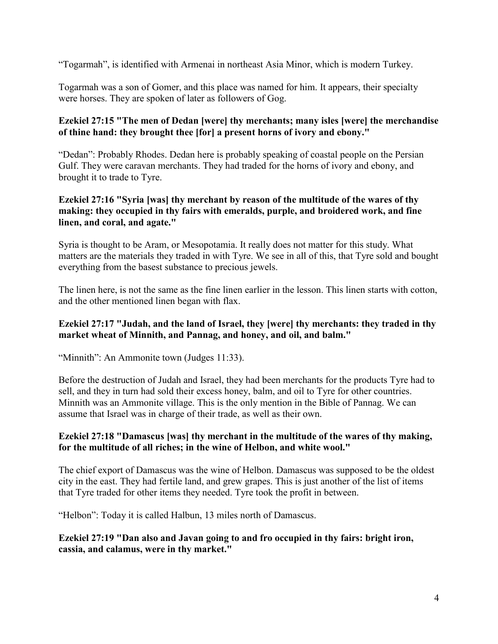"Togarmah", is identified with Armenai in northeast Asia Minor, which is modern Turkey.

Togarmah was a son of Gomer, and this place was named for him. It appears, their specialty were horses. They are spoken of later as followers of Gog.

# **Ezekiel 27:15 "The men of Dedan [were] thy merchants; many isles [were] the merchandise of thine hand: they brought thee [for] a present horns of ivory and ebony."**

"Dedan": Probably Rhodes. Dedan here is probably speaking of coastal people on the Persian Gulf. They were caravan merchants. They had traded for the horns of ivory and ebony, and brought it to trade to Tyre.

## **Ezekiel 27:16 "Syria [was] thy merchant by reason of the multitude of the wares of thy making: they occupied in thy fairs with emeralds, purple, and broidered work, and fine linen, and coral, and agate."**

Syria is thought to be Aram, or Mesopotamia. It really does not matter for this study. What matters are the materials they traded in with Tyre. We see in all of this, that Tyre sold and bought everything from the basest substance to precious jewels.

The linen here, is not the same as the fine linen earlier in the lesson. This linen starts with cotton, and the other mentioned linen began with flax.

# **Ezekiel 27:17 "Judah, and the land of Israel, they [were] thy merchants: they traded in thy market wheat of Minnith, and Pannag, and honey, and oil, and balm."**

"Minnith": An Ammonite town (Judges 11:33).

Before the destruction of Judah and Israel, they had been merchants for the products Tyre had to sell, and they in turn had sold their excess honey, balm, and oil to Tyre for other countries. Minnith was an Ammonite village. This is the only mention in the Bible of Pannag. We can assume that Israel was in charge of their trade, as well as their own.

## **Ezekiel 27:18 "Damascus [was] thy merchant in the multitude of the wares of thy making, for the multitude of all riches; in the wine of Helbon, and white wool."**

The chief export of Damascus was the wine of Helbon. Damascus was supposed to be the oldest city in the east. They had fertile land, and grew grapes. This is just another of the list of items that Tyre traded for other items they needed. Tyre took the profit in between.

"Helbon": Today it is called Halbun, 13 miles north of Damascus.

## **Ezekiel 27:19 "Dan also and Javan going to and fro occupied in thy fairs: bright iron, cassia, and calamus, were in thy market."**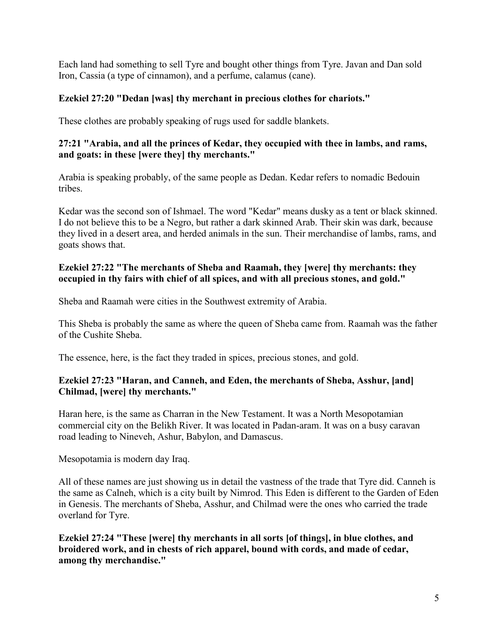Each land had something to sell Tyre and bought other things from Tyre. Javan and Dan sold Iron, Cassia (a type of cinnamon), and a perfume, calamus (cane).

# **Ezekiel 27:20 "Dedan [was] thy merchant in precious clothes for chariots."**

These clothes are probably speaking of rugs used for saddle blankets.

# **27:21 "Arabia, and all the princes of Kedar, they occupied with thee in lambs, and rams, and goats: in these [were they] thy merchants."**

Arabia is speaking probably, of the same people as Dedan. Kedar refers to nomadic Bedouin tribes.

Kedar was the second son of Ishmael. The word "Kedar" means dusky as a tent or black skinned. I do not believe this to be a Negro, but rather a dark skinned Arab. Their skin was dark, because they lived in a desert area, and herded animals in the sun. Their merchandise of lambs, rams, and goats shows that.

# **Ezekiel 27:22 "The merchants of Sheba and Raamah, they [were] thy merchants: they occupied in thy fairs with chief of all spices, and with all precious stones, and gold."**

Sheba and Raamah were cities in the Southwest extremity of Arabia.

This Sheba is probably the same as where the queen of Sheba came from. Raamah was the father of the Cushite Sheba.

The essence, here, is the fact they traded in spices, precious stones, and gold.

# **Ezekiel 27:23 "Haran, and Canneh, and Eden, the merchants of Sheba, Asshur, [and] Chilmad, [were] thy merchants."**

Haran here, is the same as Charran in the New Testament. It was a North Mesopotamian commercial city on the Belikh River. It was located in Padan-aram. It was on a busy caravan road leading to Nineveh, Ashur, Babylon, and Damascus.

Mesopotamia is modern day Iraq.

All of these names are just showing us in detail the vastness of the trade that Tyre did. Canneh is the same as Calneh, which is a city built by Nimrod. This Eden is different to the Garden of Eden in Genesis. The merchants of Sheba, Asshur, and Chilmad were the ones who carried the trade overland for Tyre.

**Ezekiel 27:24 "These [were] thy merchants in all sorts [of things], in blue clothes, and broidered work, and in chests of rich apparel, bound with cords, and made of cedar, among thy merchandise."**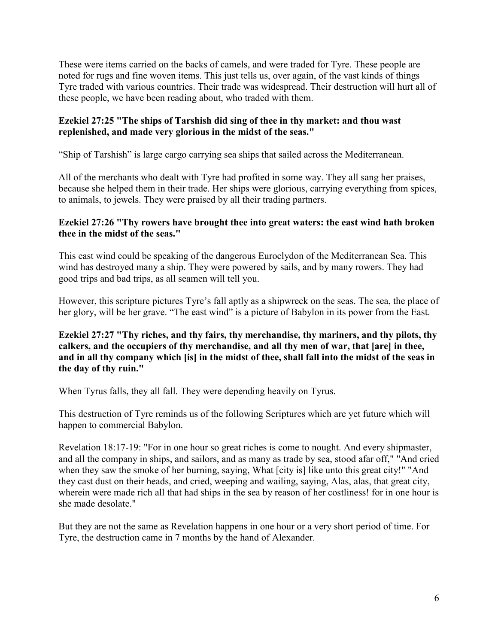These were items carried on the backs of camels, and were traded for Tyre. These people are noted for rugs and fine woven items. This just tells us, over again, of the vast kinds of things Tyre traded with various countries. Their trade was widespread. Their destruction will hurt all of these people, we have been reading about, who traded with them.

## **Ezekiel 27:25 "The ships of Tarshish did sing of thee in thy market: and thou wast replenished, and made very glorious in the midst of the seas."**

"Ship of Tarshish" is large cargo carrying sea ships that sailed across the Mediterranean.

All of the merchants who dealt with Tyre had profited in some way. They all sang her praises, because she helped them in their trade. Her ships were glorious, carrying everything from spices, to animals, to jewels. They were praised by all their trading partners.

#### **Ezekiel 27:26 "Thy rowers have brought thee into great waters: the east wind hath broken thee in the midst of the seas."**

This east wind could be speaking of the dangerous Euroclydon of the Mediterranean Sea. This wind has destroyed many a ship. They were powered by sails, and by many rowers. They had good trips and bad trips, as all seamen will tell you.

However, this scripture pictures Tyre's fall aptly as a shipwreck on the seas. The sea, the place of her glory, will be her grave. "The east wind" is a picture of Babylon in its power from the East.

## **Ezekiel 27:27 "Thy riches, and thy fairs, thy merchandise, thy mariners, and thy pilots, thy calkers, and the occupiers of thy merchandise, and all thy men of war, that [are] in thee, and in all thy company which [is] in the midst of thee, shall fall into the midst of the seas in the day of thy ruin."**

When Tyrus falls, they all fall. They were depending heavily on Tyrus.

This destruction of Tyre reminds us of the following Scriptures which are yet future which will happen to commercial Babylon.

Revelation 18:17-19: "For in one hour so great riches is come to nought. And every shipmaster, and all the company in ships, and sailors, and as many as trade by sea, stood afar off," "And cried when they saw the smoke of her burning, saying, What [city is] like unto this great city!" "And they cast dust on their heads, and cried, weeping and wailing, saying, Alas, alas, that great city, wherein were made rich all that had ships in the sea by reason of her costliness! for in one hour is she made desolate."

But they are not the same as Revelation happens in one hour or a very short period of time. For Tyre, the destruction came in 7 months by the hand of Alexander.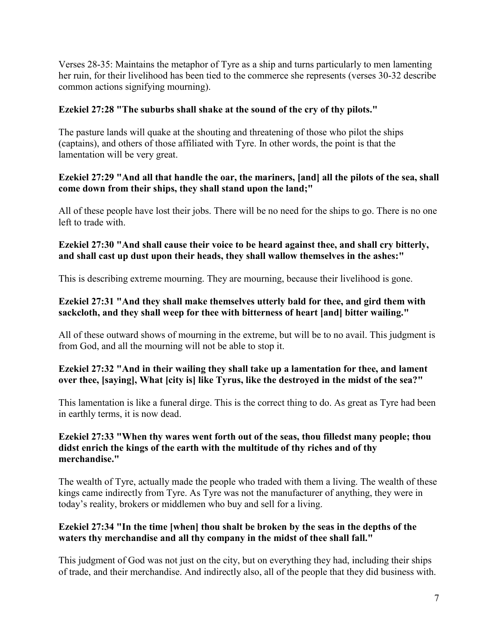Verses 28-35: Maintains the metaphor of Tyre as a ship and turns particularly to men lamenting her ruin, for their livelihood has been tied to the commerce she represents (verses 30-32 describe common actions signifying mourning).

# **Ezekiel 27:28 "The suburbs shall shake at the sound of the cry of thy pilots."**

The pasture lands will quake at the shouting and threatening of those who pilot the ships (captains), and others of those affiliated with Tyre. In other words, the point is that the lamentation will be very great.

## **Ezekiel 27:29 "And all that handle the oar, the mariners, [and] all the pilots of the sea, shall come down from their ships, they shall stand upon the land;"**

All of these people have lost their jobs. There will be no need for the ships to go. There is no one left to trade with.

# **Ezekiel 27:30 "And shall cause their voice to be heard against thee, and shall cry bitterly, and shall cast up dust upon their heads, they shall wallow themselves in the ashes:"**

This is describing extreme mourning. They are mourning, because their livelihood is gone.

# **Ezekiel 27:31 "And they shall make themselves utterly bald for thee, and gird them with sackcloth, and they shall weep for thee with bitterness of heart [and] bitter wailing."**

All of these outward shows of mourning in the extreme, but will be to no avail. This judgment is from God, and all the mourning will not be able to stop it.

# **Ezekiel 27:32 "And in their wailing they shall take up a lamentation for thee, and lament over thee, [saying], What [city is] like Tyrus, like the destroyed in the midst of the sea?"**

This lamentation is like a funeral dirge. This is the correct thing to do. As great as Tyre had been in earthly terms, it is now dead.

## **Ezekiel 27:33 "When thy wares went forth out of the seas, thou filledst many people; thou didst enrich the kings of the earth with the multitude of thy riches and of thy merchandise."**

The wealth of Tyre, actually made the people who traded with them a living. The wealth of these kings came indirectly from Tyre. As Tyre was not the manufacturer of anything, they were in today's reality, brokers or middlemen who buy and sell for a living.

# **Ezekiel 27:34 "In the time [when] thou shalt be broken by the seas in the depths of the waters thy merchandise and all thy company in the midst of thee shall fall."**

This judgment of God was not just on the city, but on everything they had, including their ships of trade, and their merchandise. And indirectly also, all of the people that they did business with.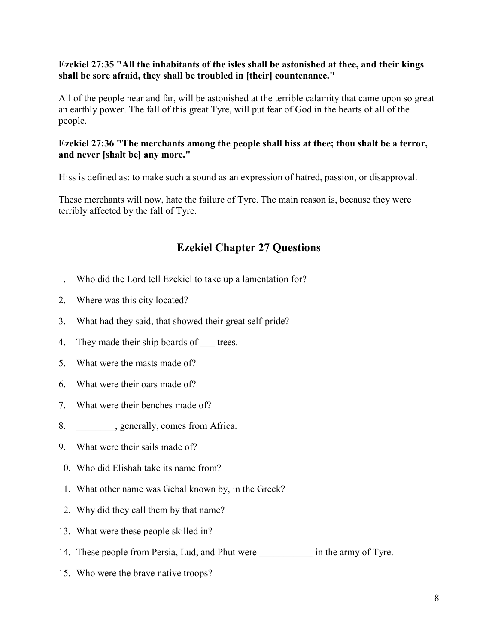### **Ezekiel 27:35 "All the inhabitants of the isles shall be astonished at thee, and their kings shall be sore afraid, they shall be troubled in [their] countenance."**

All of the people near and far, will be astonished at the terrible calamity that came upon so great an earthly power. The fall of this great Tyre, will put fear of God in the hearts of all of the people.

### **Ezekiel 27:36 "The merchants among the people shall hiss at thee; thou shalt be a terror, and never [shalt be] any more."**

Hiss is defined as: to make such a sound as an expression of hatred, passion, or disapproval.

These merchants will now, hate the failure of Tyre. The main reason is, because they were terribly affected by the fall of Tyre.

# **Ezekiel Chapter 27 Questions**

- 1. Who did the Lord tell Ezekiel to take up a lamentation for?
- 2. Where was this city located?
- 3. What had they said, that showed their great self-pride?
- 4. They made their ship boards of trees.
- 5. What were the masts made of?
- 6. What were their oars made of?
- 7. What were their benches made of?
- 8. \_\_\_\_\_\_\_\_, generally, comes from Africa.
- 9. What were their sails made of?
- 10. Who did Elishah take its name from?
- 11. What other name was Gebal known by, in the Greek?
- 12. Why did they call them by that name?
- 13. What were these people skilled in?
- 14. These people from Persia, Lud, and Phut were in the army of Tyre.
- 15. Who were the brave native troops?